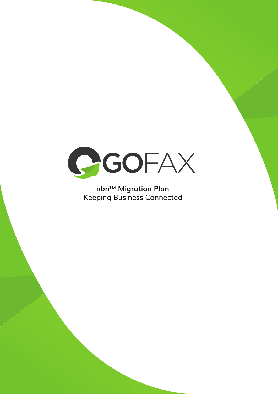

# nbn™ Migration Plan **Keeping Business Connected**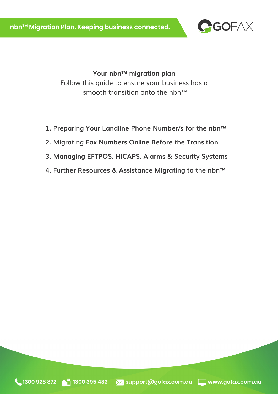

**Your nbn™ migration plan**  Follow this guide to ensure your business has a smooth transition onto the nbn™

- **1. Preparing Your Landline Phone Number/s for the nbn™**
- **2. Migrating Fax Numbers Online Before the Transition**
- **3. Managing EFTPOS, HICAPS, Alarms & Security Systems**
- **4. Further Resources & Assistance Migrating to the nbn™**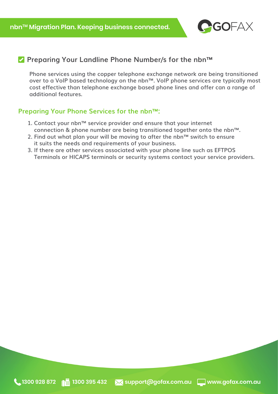

## **Preparing Your Landline Phone Number/s for the nbn™**

**Phone services using the copper telephone exchange network are being transitioned over to a VoIP based technology on the nbn™. VoIP phone services are typically most cost effective than telephone exchange based phone lines and offer can a range of additional features.**

#### **Preparing Your Phone Services for the nbn™:**

- **1. Contact your nbn™ service provider and ensure that your internet connection & phone number are being transitioned together onto the nbn™.**
- **2. Find out what plan your will be moving to after the nbn™ switch to ensure it suits the needs and requirements of your business.**
- **3. If there are other services associated with your phone line such as EFTPOS Terminals or HICAPS terminals or security systems contact your service providers.**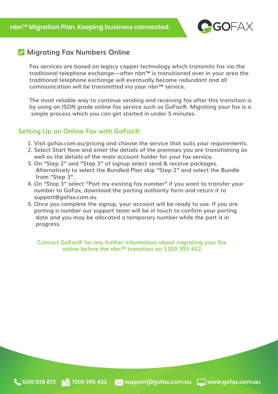

# **Migrating Fax Numbers Online**

**Fax services are based on legacy copper technology which transmits fax via the traditional telephone exchange—after nbn™ is transitioned over in your area the traditional telephone exchange will eventually become redundant and all communication will be transmitted via your nbn™ service.**

**The most reliable way to continue sending and receiving fax after this transition is by using an ISDN grade online fax service such as GoFax®. Migrating your fax is a simple process which you can get started in under 5 minutes.**

#### **Setting Up an Online Fax with GoFax®:**

- **1. Visit gofax.com.au/pricing and choose the service that suits your requirements.**
- **2. Select Start Now and enter the details of the premises you are transitioning as well as the details of the main account holder for your fax service.**
- **3. On "Step 2" and "Step 3" of signup select send & receive packages. Alternatively to select the Bundled Plan skip "Step 2" and select the Bundle from "Step 3".**
- **4. On "Step 3" select "Port my existing fax number" if you want to transfer your number to GoFax, download the porting authority form and return it to support@gofax.com.au**
- **5. Once you complete the signup, your account will be ready to use. If you are porting a number our support team will be in touch to confirm your porting date and you may be allocated a temporary number while the port is in progress.**

**Contact GoFax® for any further information about migrating your fax online before the nbn™ transition on 1300 395 432.**